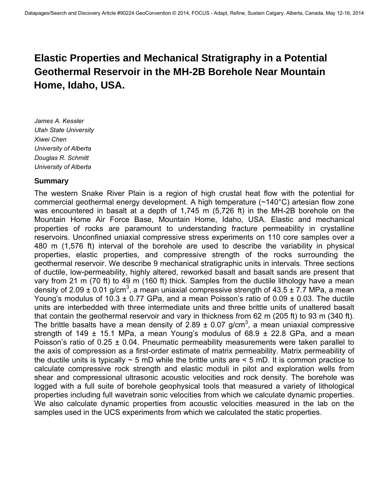# **Elastic Properties and Mechanical Stratigraphy in a Potential Geothermal Reservoir in the MH-2B Borehole Near Mountain Home, Idaho, USA.**

*James A. Kessler Utah State University Xiwei Chen University of Alberta Douglas R. Schmitt University of Alberta* 

### **Summary**

The western Snake River Plain is a region of high crustal heat flow with the potential for commercial geothermal energy development. A high temperature (~140°C) artesian flow zone was encountered in basalt at a depth of 1,745 m (5,726 ft) in the MH-2B borehole on the Mountain Home Air Force Base, Mountain Home, Idaho, USA. Elastic and mechanical properties of rocks are paramount to understanding fracture permeability in crystalline reservoirs. Unconfined uniaxial compressive stress experiments on 110 core samples over a 480 m (1,576 ft) interval of the borehole are used to describe the variability in physical properties, elastic properties, and compressive strength of the rocks surrounding the geothermal reservoir. We describe 9 mechanical stratigraphic units in intervals. Three sections of ductile, low-permeability, highly altered, reworked basalt and basalt sands are present that vary from 21 m (70 ft) to 49 m (160 ft) thick. Samples from the ductile lithology have a mean density of 2.09  $\pm$  0.01 g/cm<sup>3</sup>, a mean uniaxial compressive strength of 43.5  $\pm$  7.7 MPa, a mean Young's modulus of  $10.3 \pm 0.77$  GPa, and a mean Poisson's ratio of  $0.09 \pm 0.03$ . The ductile units are interbedded with three intermediate units and three brittle units of unaltered basalt that contain the geothermal reservoir and vary in thickness from 62 m (205 ft) to 93 m (340 ft). The brittle basalts have a mean density of 2.89  $\pm$  0.07 g/cm<sup>3</sup>, a mean uniaxial compressive strength of 149  $\pm$  15.1 MPa, a mean Young's modulus of 68.9  $\pm$  22.8 GPa, and a mean Poisson's ratio of  $0.25 \pm 0.04$ . Pneumatic permeability measurements were taken parallel to the axis of compression as a first-order estimate of matrix permeability. Matrix permeability of the ductile units is typically  $\sim$  5 mD while the brittle units are  $\leq$  5 mD. It is common practice to calculate compressive rock strength and elastic moduli in pilot and exploration wells from shear and compressional ultrasonic acoustic velocities and rock density. The borehole was logged with a full suite of borehole geophysical tools that measured a variety of lithological properties including full wavetrain sonic velocities from which we calculate dynamic properties. We also calculate dynamic properties from acoustic velocities measured in the lab on the samples used in the UCS experiments from which we calculated the static properties.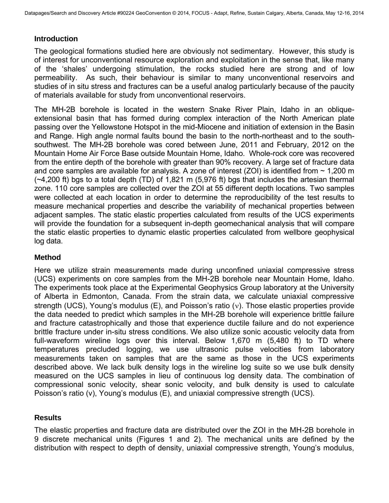### **Introduction**

The geological formations studied here are obviously not sedimentary. However, this study is of interest for unconventional resource exploration and exploitation in the sense that, like many of the 'shales' undergoing stimulation, the rocks studied here are strong and of low permeability. As such, their behaviour is similar to many unconventional reservoirs and studies of in situ stress and fractures can be a useful analog particularly because of the paucity of materials available for study from unconventional reservoirs.

The MH-2B borehole is located in the western Snake River Plain, Idaho in an obliqueextensional basin that has formed during complex interaction of the North American plate passing over the Yellowstone Hotspot in the mid-Miocene and initiation of extension in the Basin and Range. High angle normal faults bound the basin to the north-northeast and to the southsouthwest. The MH-2B borehole was cored between June, 2011 and February, 2012 on the Mountain Home Air Force Base outside Mountain Home, Idaho. Whole-rock core was recovered from the entire depth of the borehole with greater than 90% recovery. A large set of fracture data and core samples are available for analysis. A zone of interest (ZOI) is identified from  $\sim$  1,200 m  $(-4,200 \text{ ft})$  bgs to a total depth (TD) of 1,821 m (5,976 ft) bgs that includes the artesian thermal zone. 110 core samples are collected over the ZOI at 55 different depth locations. Two samples were collected at each location in order to determine the reproducibility of the test results to measure mechanical properties and describe the variability of mechanical properties between adjacent samples. The static elastic properties calculated from results of the UCS experiments will provide the foundation for a subsequent in-depth geomechanical analysis that will compare the static elastic properties to dynamic elastic properties calculated from wellbore geophysical log data.

### **Method**

Here we utilize strain measurements made during unconfined uniaxial compressive stress (UCS) experiments on core samples from the MH-2B borehole near Mountain Home, Idaho. The experiments took place at the Experimental Geophysics Group laboratory at the University of Alberta in Edmonton, Canada. From the strain data, we calculate uniaxial compressive strength (UCS), Young's modulus (E), and Poisson's ratio ( $v$ ). Those elastic properties provide the data needed to predict which samples in the MH-2B borehole will experience brittle failure and fracture catastrophically and those that experience ductile failure and do not experience brittle fracture under in-situ stress conditions. We also utilize sonic acoustic velocity data from full-waveform wireline logs over this interval. Below 1,670 m (5,480 ft) to TD where temperatures precluded logging, we use ultrasonic pulse velocities from laboratory measurements taken on samples that are the same as those in the UCS experiments described above. We lack bulk density logs in the wireline log suite so we use bulk density measured on the UCS samples in lieu of continuous log density data. The combination of compressional sonic velocity, shear sonic velocity, and bulk density is used to calculate Poisson's ratio (ν), Young's modulus (E), and uniaxial compressive strength (UCS).

### **Results**

The elastic properties and fracture data are distributed over the ZOI in the MH-2B borehole in 9 discrete mechanical units (Figures 1 and 2). The mechanical units are defined by the distribution with respect to depth of density, uniaxial compressive strength, Young's modulus,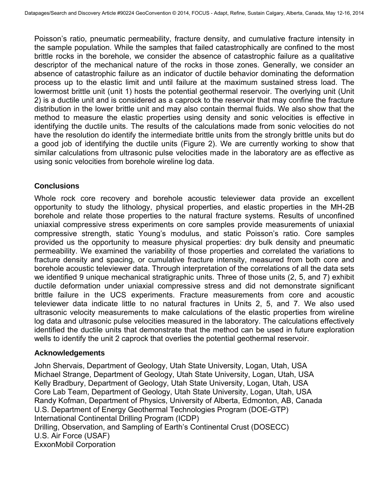Poisson's ratio, pneumatic permeability, fracture density, and cumulative fracture intensity in the sample population. While the samples that failed catastrophically are confined to the most brittle rocks in the borehole, we consider the absence of catastrophic failure as a qualitative descriptor of the mechanical nature of the rocks in those zones. Generally, we consider an absence of catastrophic failure as an indicator of ductile behavior dominating the deformation process up to the elastic limit and until failure at the maximum sustained stress load. The lowermost brittle unit (unit 1) hosts the potential geothermal reservoir. The overlying unit (Unit 2) is a ductile unit and is considered as a caprock to the reservoir that may confine the fracture distribution in the lower brittle unit and may also contain thermal fluids. We also show that the method to measure the elastic properties using density and sonic velocities is effective in identifying the ductile units. The results of the calculations made from sonic velocities do not have the resolution do identify the intermediate brittle units from the strongly brittle units but do a good job of identifying the ductile units (Figure 2). We are currently working to show that similar calculations from ultrasonic pulse velocities made in the laboratory are as effective as using sonic velocities from borehole wireline log data.

## **Conclusions**

Whole rock core recovery and borehole acoustic televiewer data provide an excellent opportunity to study the lithology, physical properties, and elastic properties in the MH-2B borehole and relate those properties to the natural fracture systems. Results of unconfined uniaxial compressive stress experiments on core samples provide measurements of uniaxial compressive strength, static Young's modulus, and static Poisson's ratio. Core samples provided us the opportunity to measure physical properties: dry bulk density and pneumatic permeability. We examined the variability of those properties and correlated the variations to fracture density and spacing, or cumulative fracture intensity, measured from both core and borehole acoustic televiewer data. Through interpretation of the correlations of all the data sets we identified 9 unique mechanical stratigraphic units. Three of those units (2, 5, and 7) exhibit ductile deformation under uniaxial compressive stress and did not demonstrate significant brittle failure in the UCS experiments. Fracture measurements from core and acoustic televiewer data indicate little to no natural fractures in Units 2, 5, and 7. We also used ultrasonic velocity measurements to make calculations of the elastic properties from wireline log data and ultrasonic pulse velocities measured in the laboratory. The calculations effectively identified the ductile units that demonstrate that the method can be used in future exploration wells to identify the unit 2 caprock that overlies the potential geothermal reservoir.

### **Acknowledgements**

John Shervais, Department of Geology, Utah State University, Logan, Utah, USA Michael Strange, Department of Geology, Utah State University, Logan, Utah, USA Kelly Bradbury, Department of Geology, Utah State University, Logan, Utah, USA Core Lab Team, Department of Geology, Utah State University, Logan, Utah, USA Randy Kofman, Department of Physics, University of Alberta, Edmonton, AB, Canada U.S. Department of Energy Geothermal Technologies Program (DOE-GTP) International Continental Drilling Program (ICDP) Drilling, Observation, and Sampling of Earth's Continental Crust (DOSECC) U.S. Air Force (USAF) ExxonMobil Corporation